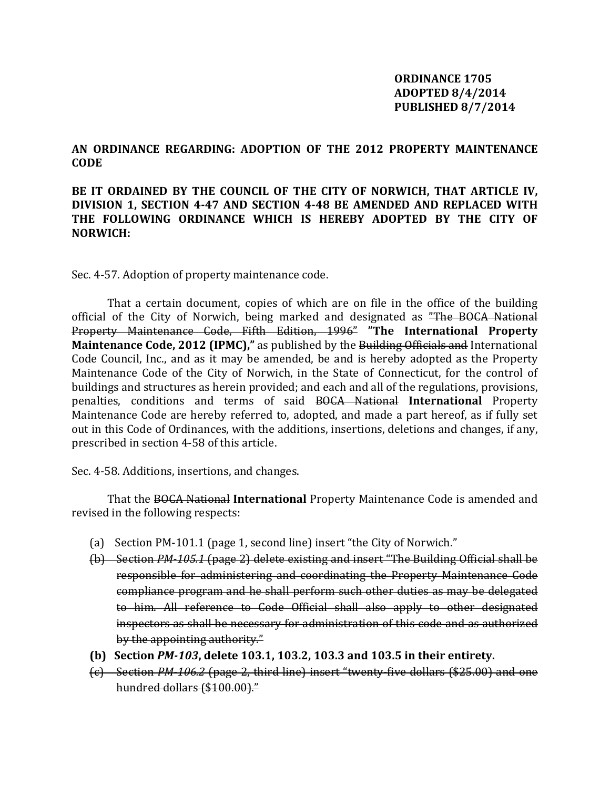## **ORDINANCE 1705 ADOPTED 8/4/2014 PUBLISHED 8/7/2014**

**AN ORDINANCE REGARDING: ADOPTION OF THE 2012 PROPERTY MAINTENANCE CODE** 

## **BE IT ORDAINED BY THE COUNCIL OF THE CITY OF NORWICH, THAT ARTICLE IV, DIVISION 1, SECTION 4-47 AND SECTION 4-48 BE AMENDED AND REPLACED WITH THE FOLLOWING ORDINANCE WHICH IS HEREBY ADOPTED BY THE CITY OF NORWICH:**

Sec. 4-57. Adoption of property maintenance code.

 That a certain document, copies of which are on file in the office of the building official of the City of Norwich, being marked and designated as "The BOCA National Property Maintenance Code, Fifth Edition, 1996" **"The International Property Maintenance Code, 2012 (IPMC),"** as published by the Building Officials and International Code Council, Inc., and as it may be amended, be and is hereby adopted as the Property Maintenance Code of the City of Norwich, in the State of Connecticut, for the control of buildings and structures as herein provided; and each and all of the regulations, provisions, penalties, conditions and terms of said BOCA National **International** Property Maintenance Code are hereby referred to, adopted, and made a part hereof, as if fully set out in this Code of Ordinances, with the additions, insertions, deletions and changes, if any, prescribed in section 4-58 of this article.

Sec. 4-58. Additions, insertions, and changes.

 That the BOCA National **International** Property Maintenance Code is amended and revised in the following respects:

- (a) Section PM-101.1 (page 1, second line) insert "the City of Norwich."
- (b) Section *PM-105.1* (page 2) delete existing and insert "The Building Official shall be responsible for administering and coordinating the Property Maintenance Code compliance program and he shall perform such other duties as may be delegated to him. All reference to Code Official shall also apply to other designated inspectors as shall be necessary for administration of this code and as authorized by the appointing authority."
- **(b) Section** *PM-103***, delete 103.1, 103.2, 103.3 and 103.5 in their entirety.**
- (c) Section *PM-106.2* (page 2, third line) insert "twenty-five dollars (\$25.00) and one hundred dollars (\$100.00)."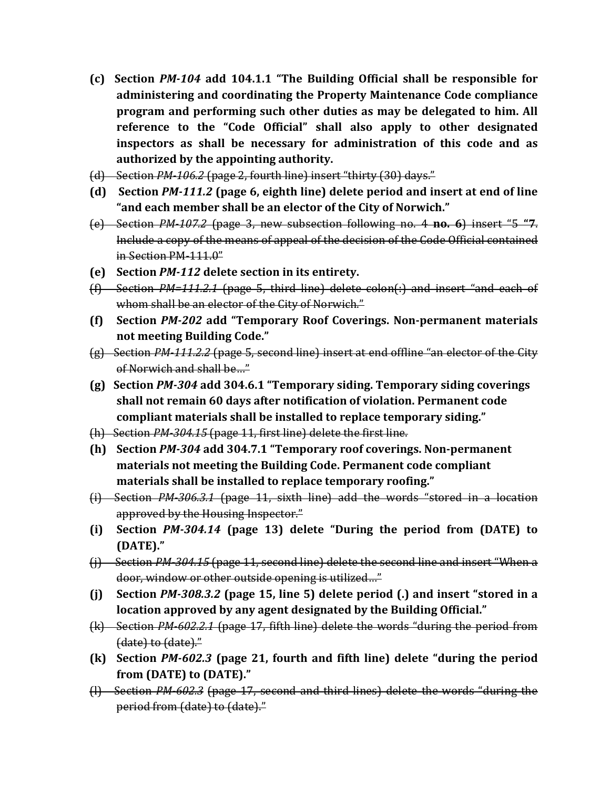- **(c) Section** *PM-104* **add 104.1.1 "The Building Official shall be responsible for administering and coordinating the Property Maintenance Code compliance program and performing such other duties as may be delegated to him. All reference to the "Code Official" shall also apply to other designated inspectors as shall be necessary for administration of this code and as authorized by the appointing authority.**
- (d) Section *PM-106.2* (page 2, fourth line) insert "thirty (30) days."
- **(d) Section** *PM-111.2* **(page 6, eighth line) delete period and insert at end of line "and each member shall be an elector of the City of Norwich."**
- (e) Section *PM-107.2* (page 3, new subsection following no. 4 **no. 6**) insert "5 **"7**. Include a copy of the means of appeal of the decision of the Code Official contained in Section PM-111.0"
- **(e) Section** *PM-112* **delete section in its entirety.**
- (f) Section *PM=111.2.1* (page 5, third line) delete colon(:) and insert "and each of whom shall be an elector of the City of Norwich."
- **(f) Section** *PM-202* **add "Temporary Roof Coverings. Non-permanent materials not meeting Building Code."**
- (g) Section *PM-111.2.2* (page 5, second line) insert at end offline "an elector of the City of Norwich and shall be…"
- **(g) Section** *PM-304* **add 304.6.1 "Temporary siding. Temporary siding coverings shall not remain 60 days after notification of violation. Permanent code compliant materials shall be installed to replace temporary siding."**
- (h) Section *PM-304.15* (page 11, first line) delete the first line.
- **(h) Section** *PM-304* **add 304.7.1 "Temporary roof coverings. Non-permanent materials not meeting the Building Code. Permanent code compliant materials shall be installed to replace temporary roofing."**
- (i) Section *PM-306.3.1* (page 11, sixth line) add the words "stored in a location approved by the Housing Inspector."
- **(i) Section** *PM-304.14* **(page 13) delete "During the period from (DATE) to (DATE)."**
- (j) Section *PM-304.15* (page 11, second line) delete the second line and insert "When a door, window or other outside opening is utilized…"
- **(j) Section** *PM-308.3.2* **(page 15, line 5) delete period (.) and insert "stored in a location approved by any agent designated by the Building Official."**
- (k) Section *PM-602.2.1* (page 17, fifth line) delete the words "during the period from (date) to (date)."
- **(k) Section** *PM-602.3* **(page 21, fourth and fifth line) delete "during the period from (DATE) to (DATE)."**
- (l) Section *PM-602.3* (page 17, second and third lines) delete the words "during the period from (date) to (date)."